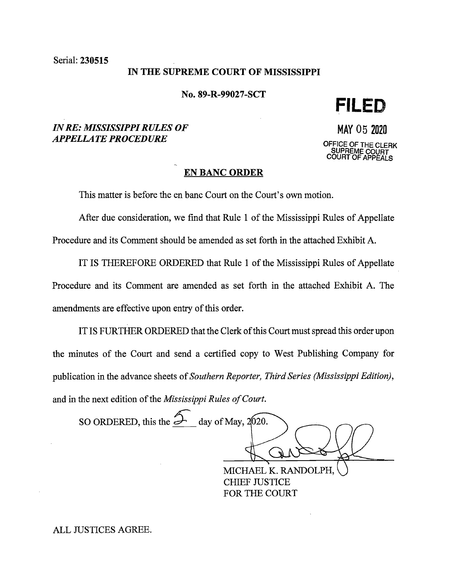Serial: 230515

### **IN THE SUPREME COURT OF MISSISSIPPI**

**No. 89-R-99027-SCT** 

**FILED** 

# *IN RE: MISSISSIPPI RULES OF APPELLATE PROCEDURE*

MAY 05 <sup>2020</sup> OFFICE OF THE CLERK **SUPREME COURT COURT OF APPEALS** 

# **EN BANC ORDER**

This matter is before the en bane Court on the Court's own motion.

After due consideration, we find that Rule 1 of the Mississippi Rules of Appellate Procedure and its Comment should be amended as set forth in the attached Exhibit A.

IT IS THEREFORE ORDERED that Rule 1 of the Mississippi Rules of Appellate Procedure and its Comment are amended as set forth in the attached Exhibit A. The amendments are effective upon entry of this order.

IT IS FURTHER ORDERED that the Clerk of this Court must spread this order upon the minutes of the Court and send a certified copy to West Publishing Company for publication in the advance sheets of *Southern Reporter, Third Series (Mississippi Edition),*  and in the next edition of the *Mississippi Rules of Court.* 

SO ORDERED, this the  $\rightarrow$  day of May, 2020.

MICHAEL K. RANDOLPH, CHIEF JUSTICE FOR THE COURT

ALL JUSTICES AGREE.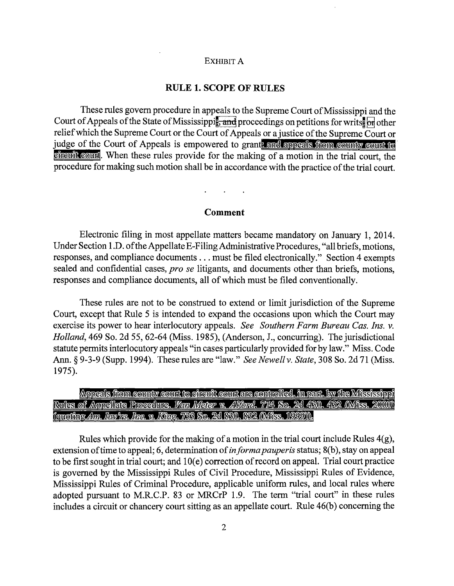#### EXHIBIT A

# **RULE 1. SCOPE OF RULES**

These rules govern procedure in appeals to the Supreme Court of Mississippi and the Court of Appeals of the State of Mississippi $\frac{1}{2}$  and proceedings on petitions for writs. On other relief which the Supreme Court or the Court of Appeals or a justice of the Supreme Court or judge of the Court of Appeals is empowered to grant, and appeals from county count to chreuit count. When these rules provide for the making of a motion in the trial court, the procedure for making such motion shall be in accordance with the practice of the trial court.

### **Comment**

Electronic filing in most appellate matters became mandatory on January 1, 2014. Under Section l .D. of the Appellate E-Filing Administrative Procedures, "all briefs, motions, responses, and compliance documents ... must be filed electronically." Section 4 exempts sealed and confidential cases, *pro se* litigants, and documents other than briefs, motions, responses and compliance documents, all of which must be filed conventionally.

These rules are not to be construed to extend or limit jurisdiction of the Supreme Court, except that Rule 5 is intended to expand the occasions upon which the Court may exercise its power to hear interlocutory appeals. *See Southern Farm Bureau Cas. Ins. v. Holland,* 469 So. 2d 55, 62-64 (Miss. 1985), (Anderson, J., concurring). The jurisdictional statute permits interlocutory appeals "in cases particularly provided for by law." Miss. Code Ann. § 9-3-9 (Supp. 1994). These rules are "law." *See Newell v. State*, 308 So. 2d 71 (Miss. 1975).

Appeals from county count to chreuit count are controlled, in part, by the Mississippi Rules of Appellate Procedure. *Van Mater v. Alford. 774* So. 2d 430. 432 (Miss. 2000) (augthie Am. Inv tr. Ing. v. King. 733 Sq. 2d 830, 832 (Miss. 1999))).

Rules which provide for the making of a motion in the trial court include Rules 4(g), extension of time to appeal; 6, determination of *in forma pauperis* status; 8(b), stay on appeal to be first sought in trial court; and  $10(e)$  correction of record on appeal. Trial court practice is governed by the Mississippi Rules of Civil Procedure, Mississippi Rules of Evidence, Mississippi Rules of Criminal Procedure, applicable uniform rules, and local rules where adopted pursuant to M.R.C.P. 83 or MRCrP 1.9. The term "trial court" in these rules includes a circuit or chancery court sitting as an appellate court. Rule 46(b) concerning the